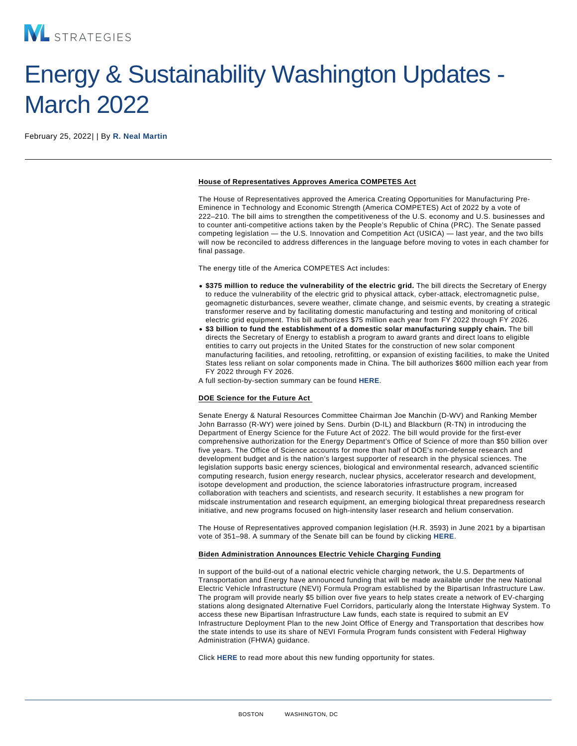## Energy & Sustainability Washington Updates - March 2022

February 25, 2022| | By [R. Neal Martin](/our-people/r-neal-martin)

## House of Representatives Approves America COMPETES Act

The House of Representatives approved the America Creating Opportunities for Manufacturing Pre-Eminence in Technology and Economic Strength (America COMPETES) Act of 2022 by a vote of 222–210. The bill aims to strengthen the competitiveness of the U.S. economy and U.S. businesses and to counter anti-competitive actions taken by the People's Republic of China (PRC). The Senate passed competing legislation — the U.S. Innovation and Competition Act (USICA) — last year, and the two bills will now be reconciled to address differences in the language before moving to votes in each chamber for final passage.

The energy title of the America COMPETES Act includes:

- \$375 million to reduce the vulnerability of the electric grid. The bill directs the Secretary of Energy to reduce the vulnerability of the electric grid to physical attack, cyber-attack, electromagnetic pulse, geomagnetic disturbances, severe weather, climate change, and seismic events, by creating a strategic transformer reserve and by facilitating domestic manufacturing and testing and monitoring of critical electric grid equipment. This bill authorizes \$75 million each year from FY 2022 through FY 2026.
- \$3 billion to fund the establishment of a domestic solar manufacturing supply chain. The bill directs the Secretary of Energy to establish a program to award grants and direct loans to eligible entities to carry out projects in the United States for the construction of new solar component manufacturing facilities, and retooling, retrofitting, or expansion of existing facilities, to make the United States less reliant on solar components made in China. The bill authorizes \$600 million each year from FY 2022 through FY 2026.
- A full section-by-section summary can be found [HERE.](https://rules.house.govsites/democrats.rules.house.gov/files/BILLS-117HR4521RH-RCP117-31-SxS.pdf)

## DOE Science for the Future Act

Senate Energy & Natural Resources Committee Chairman Joe Manchin (D-WV) and Ranking Member John Barrasso (R-WY) were joined by Sens. Durbin (D-IL) and Blackburn (R-TN) in introducing the Department of Energy Science for the Future Act of 2022. The bill would provide for the first-ever comprehensive authorization for the Energy Department's Office of Science of more than \$50 billion over five years. The Office of Science accounts for more than half of DOE's non-defense research and development budget and is the nation's largest supporter of research in the physical sciences. The legislation supports basic energy sciences, biological and environmental research, advanced scientific computing research, fusion energy research, nuclear physics, accelerator research and development, isotope development and production, the science laboratories infrastructure program, increased collaboration with teachers and scientists, and research security. It establishes a new program for midscale instrumentation and research equipment, an emerging biological threat preparedness research initiative, and new programs focused on high-intensity laser research and helium conservation.

The House of Representatives approved companion legislation (H.R. 3593) in June 2021 by a bipartisan vote of 351–98. A summary of the Senate bill can be found by clicking [HERE](https://www.energy.senate.gov/services/files/9B8E79B1-8CBD-4510-B080-8F748FDC7331).

## Biden Administration Announces Electric Vehicle Charging Funding

In support of the build-out of a national electric vehicle charging network, the U.S. Departments of Transportation and Energy have announced funding that will be made available under the new National Electric Vehicle Infrastructure (NEVI) Formula Program established by the Bipartisan Infrastructure Law. The program will provide nearly \$5 billion over five years to help states create a network of EV-charging stations along designated Alternative Fuel Corridors, particularly along the Interstate Highway System. To access these new Bipartisan Infrastructure Law funds, each state is required to submit an EV Infrastructure Deployment Plan to the new Joint Office of Energy and Transportation that describes how the state intends to use its share of NEVI Formula Program funds consistent with Federal Highway Administration (FHWA) guidance.

Click [HERE](https://www.energy.gov/articles/president-biden-doe-and-dot-announce-5-billion-over-five-years-national-ev-charging) to read more about this new funding opportunity for states.